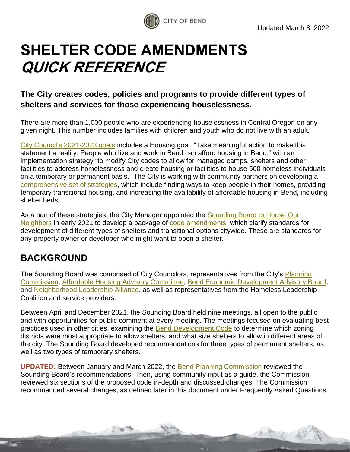

# **SHELTER CODE AMENDMENTS QUICK REFERENCE**

## **The City creates codes, policies and programs to provide different types of shelters and services for those experiencing houselessness.**

There are more than 1,000 people who are experiencing houselessness in Central Oregon on any given night. This number includes families with children and youth who do not live with an adult.

[City Council's 2021-2023 goals](https://www.bendoregon.gov/home/showpublisheddocument/49365/637649641723470000) includes a Housing goal, "Take meaningful action to make this statement a reality: People who live and work in Bend can afford housing in Bend," with an implementation strategy "to modify City codes to allow for managed camps, shelters and other facilities to address homelessness and create housing or facilities to house 500 homeless individuals on a temporary or permanent basis." The City is working with community partners on developing a [comprehensive set of strategies,](https://www.bendoregon.gov/city-projects/community-priorities/houselessness/shelter-code-changes) which include finding ways to keep people in their homes, providing temporary transitional housing, and increasing the availability of affordable housing in Bend, including shelter beds.

As a part of these strategies, the City Manager appointed the [Sounding Board](https://www.bendoregon.gov/government/committees/sounding-board-to-house-our-neighbors) to House Our [Neighbors](https://www.bendoregon.gov/government/committees/sounding-board-to-house-our-neighbors) in early 2021 to develop a package of [code amendments,](https://www.bendoregon.gov/city-projects/community-priorities/houselessness/shelter-code-changes) which clarify standards for development of different types of shelters and transitional options citywide. These are standards for any property owner or developer who might want to open a shelter.

# **BACKGROUND**

The Sounding Board was comprised of City Councilors, representatives from the City's [Planning](https://www.bendoregon.gov/government/committees/planning-commission)  [Commission,](https://www.bendoregon.gov/government/committees/planning-commission) [Affordable Housing Advisory Committee,](https://www.bendoregon.gov/government/committees/affordable-housing-advisory-committee) [Bend Economic Development Advisory Board,](https://www.bendoregon.gov/government/committees/bend-economic-development-advisory-board) and [Neighborhood Leadership Alliance,](http://www.bendoregon.gov/nla) as well as representatives from the Homeless Leadership Coalition and service providers.

Between April and December 2021, the Sounding Board held nine meetings, all open to the public and with opportunities for public comment at every meeting. The meetings focused on evaluating best practices used in other cities, examining the **Bend Development Code to determine which zoning** districts were most appropriate to allow shelters, and what size shelters to allow in different areas of the city. The Sounding Board developed recommendations for three types of permanent shelters, as well as two types of temporary shelters.

**UPDATED:** Between January and March 2022, the [Bend Planning Commission](http://www.bendoregon.gov/government/committees/planning-commission) reviewed the Sounding Board's recommendations. Then, using community input as a guide, the Commission reviewed six sections of the proposed code in-depth and discussed changes. The Commission recommended several changes, as defined later in this document under Frequently Asked Questions.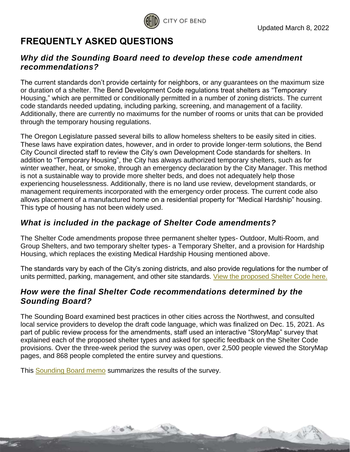

# **FREQUENTLY ASKED QUESTIONS**

#### *Why did the Sounding Board need to develop these code amendment recommendations?*

The current standards don't provide certainty for neighbors, or any guarantees on the maximum size or duration of a shelter. The Bend Development Code regulations treat shelters as "Temporary Housing," which are permitted or conditionally permitted in a number of zoning districts. The current code standards needed updating, including parking, screening, and management of a facility. Additionally, there are currently no maximums for the number of rooms or units that can be provided through the temporary housing regulations.

The Oregon Legislature passed several bills to allow homeless shelters to be easily sited in cities. These laws have expiration dates, however, and in order to provide longer-term solutions, the Bend City Council directed staff to review the City's own Development Code standards for shelters. In addition to "Temporary Housing", the City has always authorized temporary shelters, such as for winter weather, heat, or smoke, through an emergency declaration by the City Manager. This method is not a sustainable way to provide more shelter beds, and does not adequately help those experiencing houselessness. Additionally, there is no land use review, development standards, or management requirements incorporated with the emergency order process. The current code also allows placement of a manufactured home on a residential property for "Medical Hardship" housing. This type of housing has not been widely used.

### *What is included in the package of Shelter Code amendments?*

The Shelter Code amendments propose three permanent shelter types- Outdoor, Multi-Room, and Group Shelters, and two temporary shelter types- a Temporary Shelter, and a provision for Hardship Housing, which replaces the existing Medical Hardship Housing mentioned above.

The standards vary by each of the City's zoning districts, and also provide regulations for the number of units permitted, parking, management, and other site standards. [View the proposed Shelter Code here.](https://www.bendoregon.gov/home/showpublisheddocument/52591/637828576949170000)

### *How were the final Shelter Code recommendations determined by the Sounding Board?*

The Sounding Board examined best practices in other cities across the Northwest, and consulted local service providers to develop the draft code language, which was finalized on Dec. 15, 2021. As part of public review process for the amendments, staff used an interactive "StoryMap" survey that explained each of the proposed shelter types and asked for specific feedback on the Shelter Code provisions. Over the three-week period the survey was open, over 2,500 people viewed the StoryMap pages, and 868 people completed the entire survey and questions.

This [Sounding Board memo](https://www.bendoregon.gov/home/showpublisheddocument/51890/637769746790930000) summarizes the results of the survey.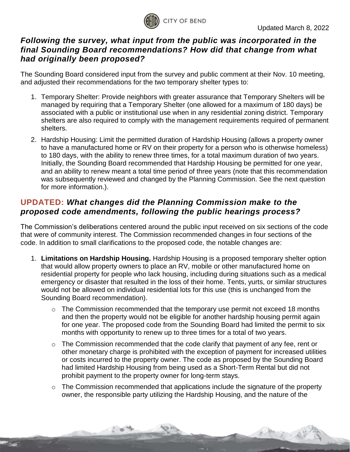

#### *Following the survey, what input from the public was incorporated in the final Sounding Board recommendations? How did that change from what had originally been proposed?*

The Sounding Board considered input from the survey and public comment at their Nov. 10 meeting, and adjusted their recommendations for the two temporary shelter types to:

- 1. Temporary Shelter: Provide neighbors with greater assurance that Temporary Shelters will be managed by requiring that a Temporary Shelter (one allowed for a maximum of 180 days) be associated with a public or institutional use when in any residential zoning district. Temporary shelters are also required to comply with the management requirements required of permanent shelters.
- 2. Hardship Housing: Limit the permitted duration of Hardship Housing (allows a property owner to have a manufactured home or RV on their property for a person who is otherwise homeless) to 180 days, with the ability to renew three times, for a total maximum duration of two years. Initially, the Sounding Board recommended that Hardship Housing be permitted for one year, and an ability to renew meant a total time period of three years (note that this recommendation was subsequently reviewed and changed by the Planning Commission. See the next question for more information.).

### **UPDATED:** *What changes did the Planning Commission make to the proposed code amendments, following the public hearings process?*

The Commission's deliberations centered around the public input received on six sections of the code that were of community interest. The Commission recommended changes in four sections of the code. In addition to small clarifications to the proposed code, the notable changes are:

- 1. **Limitations on Hardship Housing.** Hardship Housing is a proposed temporary shelter option that would allow property owners to place an RV, mobile or other manufactured home on residential property for people who lack housing, including during situations such as a medical emergency or disaster that resulted in the loss of their home. Tents, yurts, or similar structures would not be allowed on individual residential lots for this use (this is unchanged from the Sounding Board recommendation).
	- $\circ$  The Commission recommended that the temporary use permit not exceed 18 months and then the property would not be eligible for another hardship housing permit again for one year. The proposed code from the Sounding Board had limited the permit to six months with opportunity to renew up to three times for a total of two years.
	- $\circ$  The Commission recommended that the code clarify that payment of any fee, rent or other monetary charge is prohibited with the exception of payment for increased utilities or costs incurred to the property owner. The code as proposed by the Sounding Board had limited Hardship Housing from being used as a Short-Term Rental but did not prohibit payment to the property owner for long-term stays.
	- o The Commission recommended that applications include the signature of the property owner, the responsible party utilizing the Hardship Housing, and the nature of the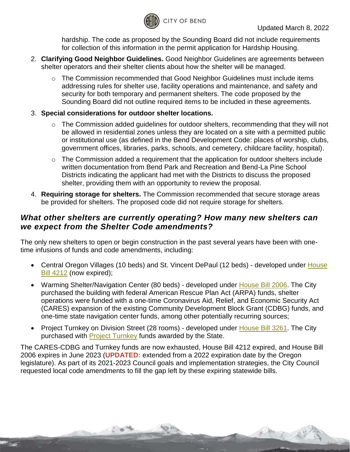

hardship. The code as proposed by the Sounding Board did not include requirements for collection of this information in the permit application for Hardship Housing.

- 2. **Clarifying Good Neighbor Guidelines.** Good Neighbor Guidelines are agreements between shelter operators and their shelter clients about how the shelter will be managed.
	- o The Commission recommended that Good Neighbor Guidelines must include items addressing rules for shelter use, facility operations and maintenance, and safety and security for both temporary and permanent shelters. The code proposed by the Sounding Board did not outline required items to be included in these agreements.
- 3. **Special considerations for outdoor shelter locations.** 
	- o The Commission added guidelines for outdoor shelters, recommending that they will not be allowed in residential zones unless they are located on a site with a permitted public or institutional use (as defined in the Bend Development Code: places of worship, clubs, government offices, libraries, parks, schools, and cemetery, childcare facility, hospital).
	- o The Commission added a requirement that the application for outdoor shelters include written documentation from Bend Park and Recreation and Bend-La Pine School Districts indicating the applicant had met with the Districts to discuss the proposed shelter, providing them with an opportunity to review the proposal.
- 4. **Requiring storage for shelters.** The Commission recommended that secure storage areas be provided for shelters. The proposed code did not require storage for shelters.

#### *What other shelters are currently operating? How many new shelters can we expect from the Shelter Code amendments?*

The only new shelters to open or begin construction in the past several years have been with onetime infusions of funds and code amendments, including:

- Central Oregon Villages (10 beds) and St. Vincent DePaul (12 beds) developed under House Bill [4212](https://olis.oregonlegislature.gov/liz/2020S1/Measures/Overview/HB4212) (now expired);
- Warming Shelter/Navigation Center (80 beds) developed under [House Bill](https://olis.oregonlegislature.gov/liz/2021R1/Measures/Overview/hb2006) 2006. The City purchased the building with federal American Rescue Plan Act (ARPA) funds, shelter operations were funded with a one-time Coronavirus Aid, Relief, and Economic Security Act (CARES) expansion of the existing Community Development Block Grant (CDBG) funds, and one-time state navigation center funds, among other potentially recurring sources;
- Project Turnkey on Division Street (28 rooms) developed under [House Bill](https://olis.oregonlegislature.gov/liz/2021R1/Measures/Overview/HB3261) 3261. The City purchased with [Project Turnkey](https://oregoncf.org/community-impact/impact-areas/housing-stability/project-turnkey/) funds awarded by the State.

The CARES-CDBG and Turnkey funds are now exhausted, House Bill 4212 expired, and House Bill 2006 expires in June 2023 (**UPDATED:** extended from a 2022 expiration date by the Oregon legislature). As part of its 2021-2023 Council goals and implementation strategies, the City Council requested local code amendments to fill the gap left by these expiring statewide bills.